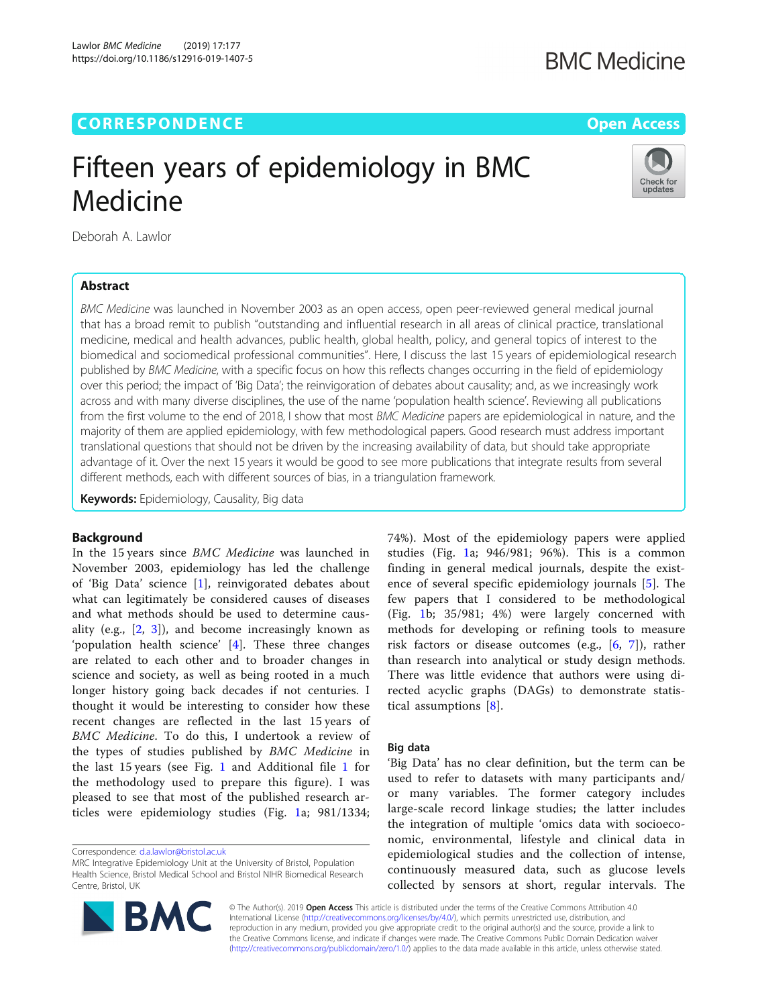# **CORRESPONDENCE CORRESPONDENCE** *CORRESPONDENCE*

# **BMC Medicine**

Check for updates

# Fifteen years of epidemiology in BMC Medicine

Deborah A. Lawlor

# Abstract

BMC Medicine was launched in November 2003 as an open access, open peer-reviewed general medical journal that has a broad remit to publish "outstanding and influential research in all areas of clinical practice, translational medicine, medical and health advances, public health, global health, policy, and general topics of interest to the biomedical and sociomedical professional communities". Here, I discuss the last 15 years of epidemiological research published by BMC Medicine, with a specific focus on how this reflects changes occurring in the field of epidemiology over this period; the impact of 'Big Data'; the reinvigoration of debates about causality; and, as we increasingly work across and with many diverse disciplines, the use of the name 'population health science'. Reviewing all publications from the first volume to the end of 2018, I show that most BMC Medicine papers are epidemiological in nature, and the majority of them are applied epidemiology, with few methodological papers. Good research must address important translational questions that should not be driven by the increasing availability of data, but should take appropriate advantage of it. Over the next 15 years it would be good to see more publications that integrate results from several different methods, each with different sources of bias, in a triangulation framework.

Keywords: Epidemiology, Causality, Big data

## Background

In the 15 years since BMC Medicine was launched in November 2003, epidemiology has led the challenge of 'Big Data' science [\[1](#page-3-0)], reinvigorated debates about what can legitimately be considered causes of diseases and what methods should be used to determine causality (e.g.,  $[2, 3]$  $[2, 3]$  $[2, 3]$  $[2, 3]$ ), and become increasingly known as 'population health science' [[4\]](#page-3-0). These three changes are related to each other and to broader changes in science and society, as well as being rooted in a much longer history going back decades if not centuries. I thought it would be interesting to consider how these recent changes are reflected in the last 15 years of BMC Medicine. To do this, I undertook a review of the types of studies published by BMC Medicine in the last 15 years (see Fig. [1](#page-1-0) and Additional file [1](#page-3-0) for the methodology used to prepare this figure). I was pleased to see that most of the published research articles were epidemiology studies (Fig. [1a](#page-1-0); 981/1334;

Correspondence: [d.a.lawlor@bristol.ac.uk](mailto:d.a.lawlor@bristol.ac.uk)

MRC Integrative Epidemiology Unit at the University of Bristol, Population Health Science, Bristol Medical School and Bristol NIHR Biomedical Research Centre, Bristol, UK



74%). Most of the epidemiology papers were applied studies (Fig. [1](#page-1-0)a; 946/981; 96%). This is a common finding in general medical journals, despite the existence of several specific epidemiology journals [[5\]](#page-3-0). The few papers that I considered to be methodological (Fig. [1b](#page-1-0); 35/981; 4%) were largely concerned with methods for developing or refining tools to measure risk factors or disease outcomes (e.g., [[6,](#page-3-0) [7](#page-3-0)]), rather than research into analytical or study design methods. There was little evidence that authors were using directed acyclic graphs (DAGs) to demonstrate statistical assumptions [[8](#page-3-0)].

#### Big data

'Big Data' has no clear definition, but the term can be used to refer to datasets with many participants and/ or many variables. The former category includes large-scale record linkage studies; the latter includes the integration of multiple 'omics data with socioeconomic, environmental, lifestyle and clinical data in epidemiological studies and the collection of intense, continuously measured data, such as glucose levels collected by sensors at short, regular intervals. The

© The Author(s). 2019 Open Access This article is distributed under the terms of the Creative Commons Attribution 4.0 International License [\(http://creativecommons.org/licenses/by/4.0/](http://creativecommons.org/licenses/by/4.0/)), which permits unrestricted use, distribution, and reproduction in any medium, provided you give appropriate credit to the original author(s) and the source, provide a link to the Creative Commons license, and indicate if changes were made. The Creative Commons Public Domain Dedication waiver [\(http://creativecommons.org/publicdomain/zero/1.0/](http://creativecommons.org/publicdomain/zero/1.0/)) applies to the data made available in this article, unless otherwise stated.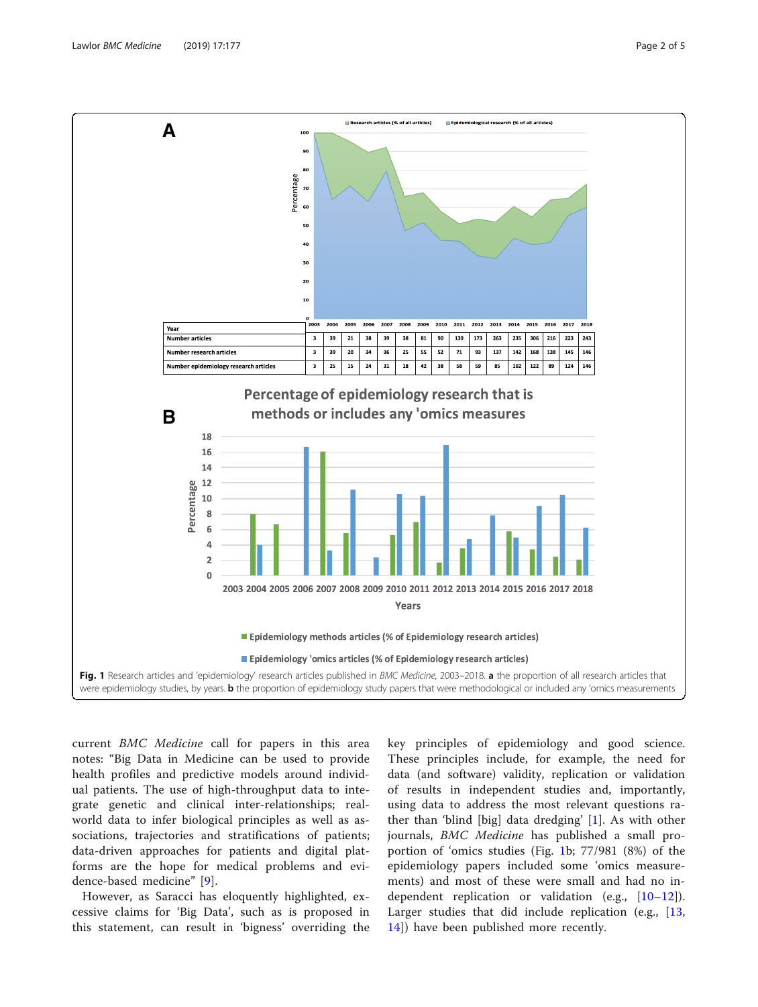<span id="page-1-0"></span>

current BMC Medicine call for papers in this area notes: "Big Data in Medicine can be used to provide health profiles and predictive models around individual patients. The use of high-throughput data to integrate genetic and clinical inter-relationships; realworld data to infer biological principles as well as associations, trajectories and stratifications of patients; data-driven approaches for patients and digital platforms are the hope for medical problems and evidence-based medicine" [[9\]](#page-4-0).

However, as Saracci has eloquently highlighted, excessive claims for 'Big Data', such as is proposed in this statement, can result in 'bigness' overriding the

key principles of epidemiology and good science. These principles include, for example, the need for data (and software) validity, replication or validation of results in independent studies and, importantly, using data to address the most relevant questions rather than 'blind [big] data dredging' [\[1](#page-3-0)]. As with other journals, BMC Medicine has published a small proportion of 'omics studies (Fig. 1b; 77/981 (8%) of the epidemiology papers included some 'omics measurements) and most of these were small and had no independent replication or validation (e.g.,  $[10-12]$  $[10-12]$  $[10-12]$  $[10-12]$ ). Larger studies that did include replication (e.g., [\[13](#page-4-0), [14\]](#page-4-0)) have been published more recently.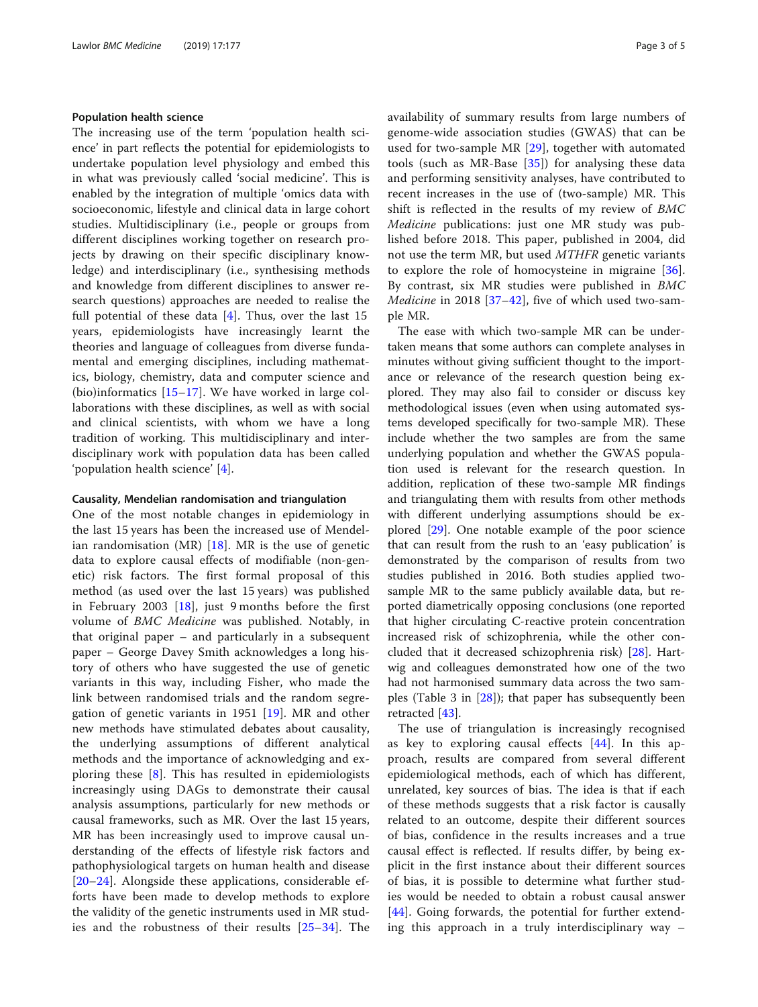#### Population health science

The increasing use of the term 'population health science' in part reflects the potential for epidemiologists to undertake population level physiology and embed this in what was previously called 'social medicine'. This is enabled by the integration of multiple 'omics data with socioeconomic, lifestyle and clinical data in large cohort studies. Multidisciplinary (i.e., people or groups from different disciplines working together on research projects by drawing on their specific disciplinary knowledge) and interdisciplinary (i.e., synthesising methods and knowledge from different disciplines to answer research questions) approaches are needed to realise the full potential of these data [\[4](#page-3-0)]. Thus, over the last 15 years, epidemiologists have increasingly learnt the theories and language of colleagues from diverse fundamental and emerging disciplines, including mathematics, biology, chemistry, data and computer science and (bio)informatics  $[15-17]$  $[15-17]$  $[15-17]$  $[15-17]$  $[15-17]$ . We have worked in large collaborations with these disciplines, as well as with social and clinical scientists, with whom we have a long tradition of working. This multidisciplinary and interdisciplinary work with population data has been called 'population health science' [\[4](#page-3-0)].

#### Causality, Mendelian randomisation and triangulation

One of the most notable changes in epidemiology in the last 15 years has been the increased use of Mendelian randomisation (MR)  $[18]$  $[18]$ . MR is the use of genetic data to explore causal effects of modifiable (non-genetic) risk factors. The first formal proposal of this method (as used over the last 15 years) was published in February 2003 [\[18](#page-4-0)], just 9 months before the first volume of BMC Medicine was published. Notably, in that original paper – and particularly in a subsequent paper – George Davey Smith acknowledges a long history of others who have suggested the use of genetic variants in this way, including Fisher, who made the link between randomised trials and the random segregation of genetic variants in 1951 [[19\]](#page-4-0). MR and other new methods have stimulated debates about causality, the underlying assumptions of different analytical methods and the importance of acknowledging and exploring these [[8](#page-3-0)]. This has resulted in epidemiologists increasingly using DAGs to demonstrate their causal analysis assumptions, particularly for new methods or causal frameworks, such as MR. Over the last 15 years, MR has been increasingly used to improve causal understanding of the effects of lifestyle risk factors and pathophysiological targets on human health and disease [[20](#page-4-0)–[24\]](#page-4-0). Alongside these applications, considerable efforts have been made to develop methods to explore the validity of the genetic instruments used in MR studies and the robustness of their results [\[25](#page-4-0)–[34](#page-4-0)]. The availability of summary results from large numbers of genome-wide association studies (GWAS) that can be used for two-sample MR [[29\]](#page-4-0), together with automated tools (such as MR-Base  $[35]$  $[35]$ ) for analysing these data and performing sensitivity analyses, have contributed to recent increases in the use of (two-sample) MR. This shift is reflected in the results of my review of BMC Medicine publications: just one MR study was published before 2018. This paper, published in 2004, did not use the term MR, but used MTHFR genetic variants to explore the role of homocysteine in migraine [\[36](#page-4-0)]. By contrast, six MR studies were published in BMC *Medicine* in 2018 [ $37-42$  $37-42$ ], five of which used two-sample MR.

The ease with which two-sample MR can be undertaken means that some authors can complete analyses in minutes without giving sufficient thought to the importance or relevance of the research question being explored. They may also fail to consider or discuss key methodological issues (even when using automated systems developed specifically for two-sample MR). These include whether the two samples are from the same underlying population and whether the GWAS population used is relevant for the research question. In addition, replication of these two-sample MR findings and triangulating them with results from other methods with different underlying assumptions should be explored [[29\]](#page-4-0). One notable example of the poor science that can result from the rush to an 'easy publication' is demonstrated by the comparison of results from two studies published in 2016. Both studies applied twosample MR to the same publicly available data, but reported diametrically opposing conclusions (one reported that higher circulating C-reactive protein concentration increased risk of schizophrenia, while the other concluded that it decreased schizophrenia risk) [[28\]](#page-4-0). Hartwig and colleagues demonstrated how one of the two had not harmonised summary data across the two samples (Table 3 in  $[28]$  $[28]$ ); that paper has subsequently been retracted [\[43](#page-4-0)].

The use of triangulation is increasingly recognised as key to exploring causal effects [[44](#page-4-0)]. In this approach, results are compared from several different epidemiological methods, each of which has different, unrelated, key sources of bias. The idea is that if each of these methods suggests that a risk factor is causally related to an outcome, despite their different sources of bias, confidence in the results increases and a true causal effect is reflected. If results differ, by being explicit in the first instance about their different sources of bias, it is possible to determine what further studies would be needed to obtain a robust causal answer [[44\]](#page-4-0). Going forwards, the potential for further extending this approach in a truly interdisciplinary way –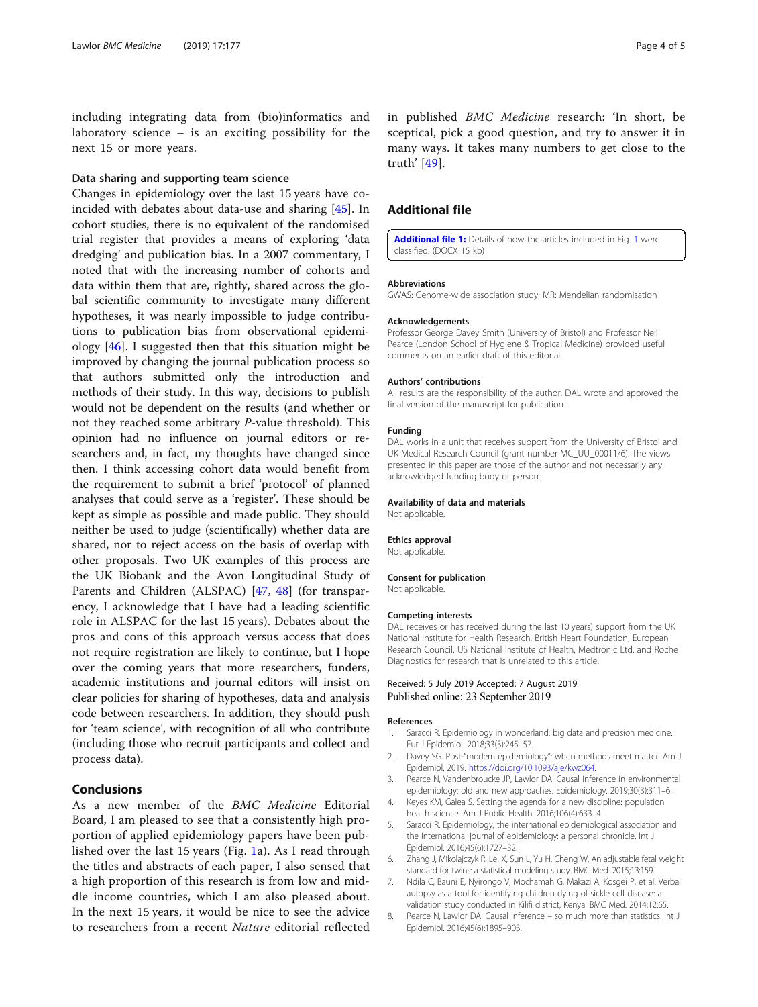<span id="page-3-0"></span>including integrating data from (bio)informatics and laboratory science – is an exciting possibility for the next 15 or more years.

### Data sharing and supporting team science

Changes in epidemiology over the last 15 years have coincided with debates about data-use and sharing [\[45](#page-4-0)]. In cohort studies, there is no equivalent of the randomised trial register that provides a means of exploring 'data dredging' and publication bias. In a 2007 commentary, I noted that with the increasing number of cohorts and data within them that are, rightly, shared across the global scientific community to investigate many different hypotheses, it was nearly impossible to judge contributions to publication bias from observational epidemiology [\[46](#page-4-0)]. I suggested then that this situation might be improved by changing the journal publication process so that authors submitted only the introduction and methods of their study. In this way, decisions to publish would not be dependent on the results (and whether or not they reached some arbitrary P-value threshold). This opinion had no influence on journal editors or researchers and, in fact, my thoughts have changed since then. I think accessing cohort data would benefit from the requirement to submit a brief 'protocol' of planned analyses that could serve as a 'register'. These should be kept as simple as possible and made public. They should neither be used to judge (scientifically) whether data are shared, nor to reject access on the basis of overlap with other proposals. Two UK examples of this process are the UK Biobank and the Avon Longitudinal Study of Parents and Children (ALSPAC) [[47,](#page-4-0) [48\]](#page-4-0) (for transparency, I acknowledge that I have had a leading scientific role in ALSPAC for the last 15 years). Debates about the pros and cons of this approach versus access that does not require registration are likely to continue, but I hope over the coming years that more researchers, funders, academic institutions and journal editors will insist on clear policies for sharing of hypotheses, data and analysis code between researchers. In addition, they should push for 'team science', with recognition of all who contribute (including those who recruit participants and collect and process data).

### Conclusions

As a new member of the BMC Medicine Editorial Board, I am pleased to see that a consistently high proportion of applied epidemiology papers have been published over the last 15 years (Fig. [1](#page-1-0)a). As I read through the titles and abstracts of each paper, I also sensed that a high proportion of this research is from low and middle income countries, which I am also pleased about. In the next 15 years, it would be nice to see the advice to researchers from a recent Nature editorial reflected

in published BMC Medicine research: 'In short, be sceptical, pick a good question, and try to answer it in many ways. It takes many numbers to get close to the truth' [\[49](#page-4-0)].

# Additional file

[Additional file 1:](https://doi.org/10.1186/s12916-019-1407-5) Details of how the articles included in Fig. [1](#page-1-0) were classified. (DOCX 15 kb)

#### Abbreviations

GWAS: Genome-wide association study; MR: Mendelian randomisation

#### Acknowledgements

Professor George Davey Smith (University of Bristol) and Professor Neil Pearce (London School of Hygiene & Tropical Medicine) provided useful comments on an earlier draft of this editorial.

#### Authors' contributions

All results are the responsibility of the author. DAL wrote and approved the final version of the manuscript for publication.

#### Funding

DAL works in a unit that receives support from the University of Bristol and UK Medical Research Council (grant number MC\_UU\_00011/6). The views presented in this paper are those of the author and not necessarily any acknowledged funding body or person.

#### Availability of data and materials

Not applicable.

#### Ethics approval

Not applicable.

#### Consent for publication

Not applicable.

#### Competing interests

DAL receives or has received during the last 10 years) support from the UK National Institute for Health Research, British Heart Foundation, European Research Council, US National Institute of Health, Medtronic Ltd. and Roche Diagnostics for research that is unrelated to this article.

#### Received: 5 July 2019 Accepted: 7 August 2019 Published online: 23 September 2019

#### References

- 1. Saracci R. Epidemiology in wonderland: big data and precision medicine. Eur J Epidemiol. 2018;33(3):245–57.
- 2. Davey SG. Post-"modern epidemiology": when methods meet matter. Am J Epidemiol. 2019. <https://doi.org/10.1093/aje/kwz064>.
- 3. Pearce N, Vandenbroucke JP, Lawlor DA. Causal inference in environmental epidemiology: old and new approaches. Epidemiology. 2019;30(3):311–6.
- 4. Keyes KM, Galea S. Setting the agenda for a new discipline: population health science. Am J Public Health. 2016;106(4):633–4.
- Saracci R. Epidemiology, the international epidemiological association and the international journal of epidemiology: a personal chronicle. Int J Epidemiol. 2016;45(6):1727–32.
- 6. Zhang J, Mikolajczyk R, Lei X, Sun L, Yu H, Cheng W. An adjustable fetal weight standard for twins: a statistical modeling study. BMC Med. 2015;13:159.
- 7. Ndila C, Bauni E, Nyirongo V, Mochamah G, Makazi A, Kosgei P, et al. Verbal autopsy as a tool for identifying children dying of sickle cell disease: a validation study conducted in Kilifi district, Kenya. BMC Med. 2014;12:65.
- 8. Pearce N, Lawlor DA. Causal inference so much more than statistics. Int J Epidemiol. 2016;45(6):1895–903.